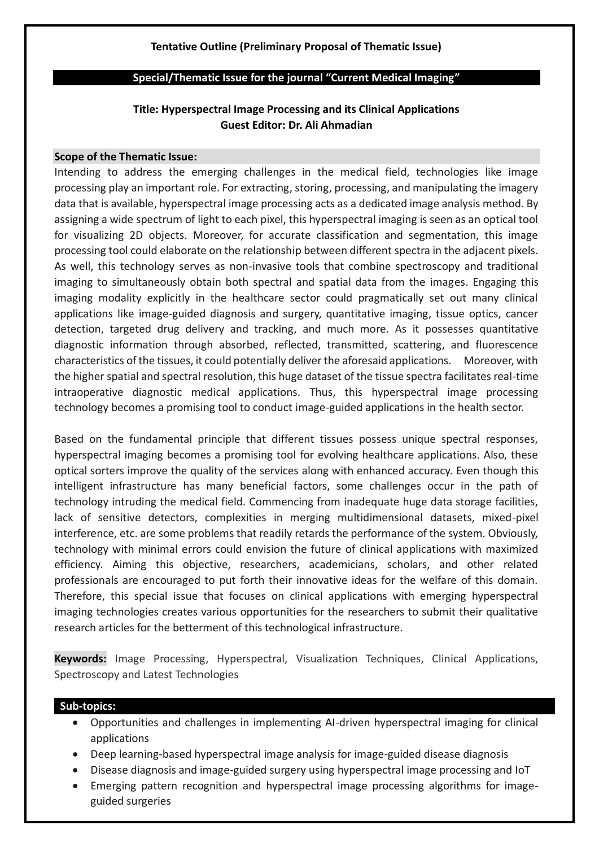# **Tentative Outline (Preliminary Proposal of Thematic Issue)**

### **Special/Thematic Issue for the journal "Current Medical Imaging"**

# **Title: Hyperspectral Image Processing and its Clinical Applications Guest Editor: Dr. Ali Ahmadian**

#### **Scope of the Thematic Issue:**

Intending to address the emerging challenges in the medical field, technologies like image processing play an important role. For extracting, storing, processing, and manipulating the imagery data that is available, hyperspectral image processing acts as a dedicated image analysis method. By assigning a wide spectrum of light to each pixel, this hyperspectral imaging is seen as an optical tool for visualizing 2D objects. Moreover, for accurate classification and segmentation, this image processing tool could elaborate on the relationship between different spectra in the adjacent pixels. As well, this technology serves as non-invasive tools that combine spectroscopy and traditional imaging to simultaneously obtain both spectral and spatial data from the images. Engaging this imaging modality explicitly in the healthcare sector could pragmatically set out many clinical applications like image-guided diagnosis and surgery, quantitative imaging, tissue optics, cancer detection, targeted drug delivery and tracking, and much more. As it possesses quantitative diagnostic information through absorbed, reflected, transmitted, scattering, and fluorescence characteristics of the tissues, it could potentially deliver the aforesaid applications. Moreover, with the higher spatial and spectral resolution, this huge dataset of the tissue spectra facilitates real-time intraoperative diagnostic medical applications. Thus, this hyperspectral image processing technology becomes a promising tool to conduct image-guided applications in the health sector.

Based on the fundamental principle that different tissues possess unique spectral responses, hyperspectral imaging becomes a promising tool for evolving healthcare applications. Also, these optical sorters improve the quality of the services along with enhanced accuracy. Even though this intelligent infrastructure has many beneficial factors, some challenges occur in the path of technology intruding the medical field. Commencing from inadequate huge data storage facilities, lack of sensitive detectors, complexities in merging multidimensional datasets, mixed-pixel interference, etc. are some problems that readily retards the performance of the system. Obviously, technology with minimal errors could envision the future of clinical applications with maximized efficiency. Aiming this objective, researchers, academicians, scholars, and other related professionals are encouraged to put forth their innovative ideas for the welfare of this domain. Therefore, this special issue that focuses on clinical applications with emerging hyperspectral imaging technologies creates various opportunities for the researchers to submit their qualitative research articles for the betterment of this technological infrastructure.

**Keywords:** Image Processing, Hyperspectral, Visualization Techniques, Clinical Applications, Spectroscopy and Latest Technologies

### **Sub-topics:**

- Opportunities and challenges in implementing AI-driven hyperspectral imaging for clinical applications
- Deep learning-based hyperspectral image analysis for image-guided disease diagnosis
- Disease diagnosis and image-guided surgery using hyperspectral image processing and IoT
- Emerging pattern recognition and hyperspectral image processing algorithms for imageguided surgeries